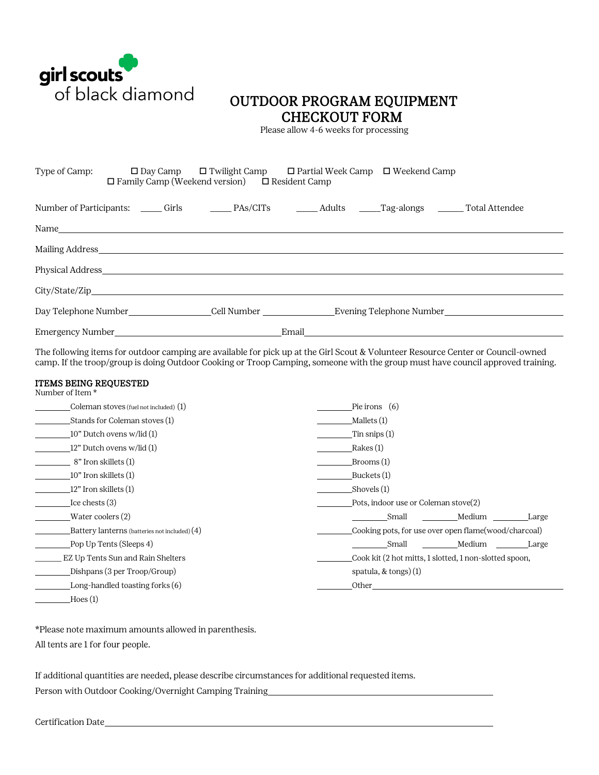

## OUTDOOR PROGRAM EQUIPMENT CHECKOUT FORM Please allow 4-6 weeks for processing

| Type of Camp: | $\Box$ Family Camp (Weekend version) $\Box$ Resident Camp                                                                                                                                                                      | $\square$ Day Camp $\square$ Twilight Camp $\square$ Partial Week Camp $\square$ Weekend Camp |                                                                                                     |
|---------------|--------------------------------------------------------------------------------------------------------------------------------------------------------------------------------------------------------------------------------|-----------------------------------------------------------------------------------------------|-----------------------------------------------------------------------------------------------------|
|               |                                                                                                                                                                                                                                |                                                                                               |                                                                                                     |
|               |                                                                                                                                                                                                                                |                                                                                               |                                                                                                     |
|               |                                                                                                                                                                                                                                |                                                                                               |                                                                                                     |
|               | Physical Address experiences and the state of the state of the state of the state of the state of the state of the state of the state of the state of the state of the state of the state of the state of the state of the sta |                                                                                               |                                                                                                     |
|               |                                                                                                                                                                                                                                |                                                                                               |                                                                                                     |
|               |                                                                                                                                                                                                                                |                                                                                               | Day Telephone Number_______________________Cell Number ____________________Evening Telephone Number |
|               |                                                                                                                                                                                                                                |                                                                                               |                                                                                                     |

The following items for outdoor camping are available for pick up at the Girl Scout & Volunteer Resource Center or Council-owned camp. If the troop/group is doing Outdoor Cooking or Troop Camping, someone with the group must have council approved training.

## ITEMS BEING REQUESTED Number of Item \*

| <b>INAILIDEL OF ITEILL</b>                    |                                                        |  |  |  |
|-----------------------------------------------|--------------------------------------------------------|--|--|--|
| Coleman stoves (fuel not included) (1)        | Pie irons $(6)$                                        |  |  |  |
| Stands for Coleman stoves (1)                 | Mallets $(1)$                                          |  |  |  |
| 10" Dutch ovens w/lid (1)                     | Tin snips $(1)$                                        |  |  |  |
| 12" Dutch ovens w/lid (1)                     | Rakes (1)                                              |  |  |  |
| 8" Iron skillets (1)                          | Brooms (1)                                             |  |  |  |
| 10" Iron skillets (1)                         | Buckets (1)                                            |  |  |  |
| 12" Iron skillets (1)                         | Shovels (1)                                            |  |  |  |
| Ice chests $(3)$                              | Pots, indoor use or Coleman stove(2)                   |  |  |  |
| Water coolers (2)                             | Medium<br>Small<br>Large                               |  |  |  |
| Battery lanterns (batteries not included) (4) | Cooking pots, for use over open flame (wood/charcoal)  |  |  |  |
| Pop Up Tents (Sleeps 4)                       | Medium<br>Small<br>Large                               |  |  |  |
| EZ Up Tents Sun and Rain Shelters             | Cook kit (2 hot mitts, 1 slotted, 1 non-slotted spoon, |  |  |  |
| Dishpans (3 per Troop/Group)                  | spatula, $&$ tongs) $(1)$                              |  |  |  |
| Long-handled toasting forks (6)               | Other                                                  |  |  |  |
| Hoes(1)                                       |                                                        |  |  |  |

\*Please note maximum amounts allowed in parenthesis.

All tents are 1 for four people.

If additional quantities are needed, please describe circumstances for additional requested items. Person with Outdoor Cooking/Overnight Camping Training

Certification Date